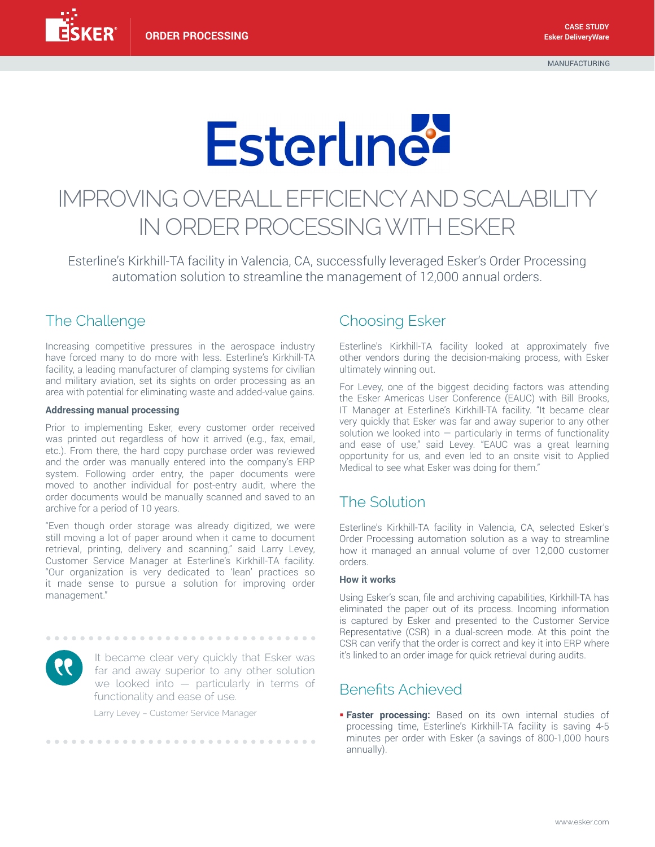# **Esterline**

# IMPROVING OVERALL EFFICIENCY AND SCALABILITY IN ORDER PROCESSING WITH ESKER

Esterline's Kirkhill-TA facility in Valencia, CA, successfully leveraged Esker's Order Processing automation solution to streamline the management of 12,000 annual orders.

# The Challenge

Increasing competitive pressures in the aerospace industry have forced many to do more with less. Esterline's Kirkhill-TA facility, a leading manufacturer of clamping systems for civilian and military aviation, set its sights on order processing as an area with potential for eliminating waste and added-value gains.

#### **Addressing manual processing**

Prior to implementing Esker, every customer order received was printed out regardless of how it arrived (e.g., fax, email, etc.). From there, the hard copy purchase order was reviewed and the order was manually entered into the company's ERP system. Following order entry, the paper documents were moved to another individual for post-entry audit, where the order documents would be manually scanned and saved to an archive for a period of 10 years.

"Even though order storage was already digitized, we were still moving a lot of paper around when it came to document retrieval, printing, delivery and scanning," said Larry Levey, Customer Service Manager at Esterline's Kirkhill-TA facility. "Our organization is very dedicated to 'lean' practices so it made sense to pursue a solution for improving order management."



It became clear very quickly that Esker was far and away superior to any other solution we looked into — particularly in terms of functionality and ease of use.

Larry Levey – Customer Service Manager

................................

#### Choosing Esker

Esterline's Kirkhill-TA facility looked at approximately five other vendors during the decision-making process, with Esker ultimately winning out.

For Levey, one of the biggest deciding factors was attending the Esker Americas User Conference (EAUC) with Bill Brooks, IT Manager at Esterline's Kirkhill-TA facility. "It became clear very quickly that Esker was far and away superior to any other solution we looked into  $-$  particularly in terms of functionality and ease of use," said Levey. "EAUC was a great learning opportunity for us, and even led to an onsite visit to Applied Medical to see what Esker was doing for them."

# The Solution

Esterline's Kirkhill-TA facility in Valencia, CA, selected Esker's Order Processing automation solution as a way to streamline how it managed an annual volume of over 12,000 customer orders.

#### **How it works**

Using Esker's scan, file and archiving capabilities, Kirkhill-TA has eliminated the paper out of its process. Incoming information is captured by Esker and presented to the Customer Service Representative (CSR) in a dual-screen mode. At this point the CSR can verify that the order is correct and key it into ERP where it's linked to an order image for quick retrieval during audits.

### Benefits Achieved

**Faster processing:** Based on its own internal studies of processing time, Esterline's Kirkhill-TA facility is saving 4-5 minutes per order with Esker (a savings of 800-1,000 hours annually).